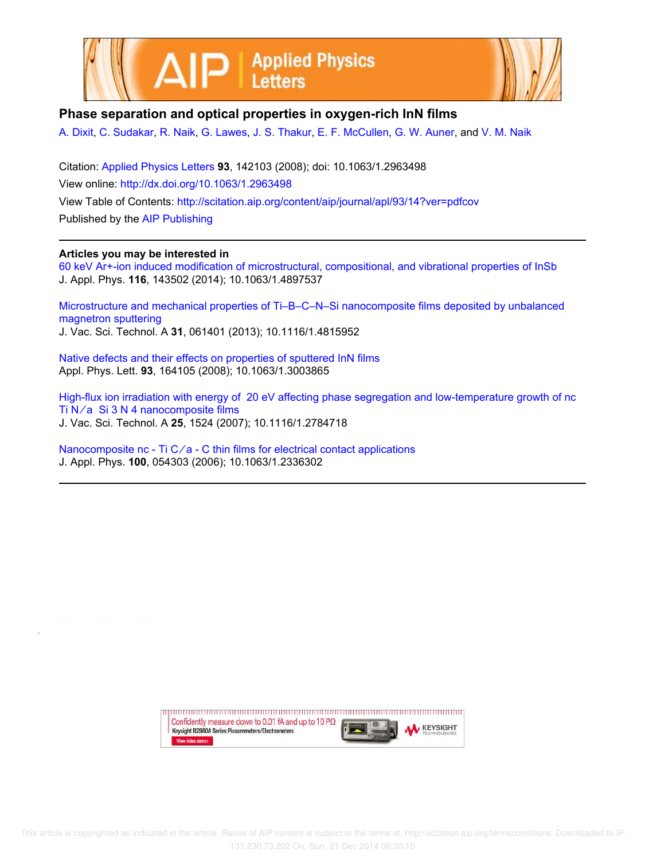



## **Phase separation and optical properties in oxygen-rich InN films**

A. Dixit, C. Sudakar, R. Naik, G. Lawes, J. S. Thakur, E. F. McCullen, G. W. Auner, and V. M. Naik

Citation: Applied Physics Letters **93**, 142103 (2008); doi: 10.1063/1.2963498 View online: http://dx.doi.org/10.1063/1.2963498 View Table of Contents: http://scitation.aip.org/content/aip/journal/apl/93/14?ver=pdfcov Published by the AIP Publishing

## **Articles you may be interested in**

60 keV Ar+-ion induced modification of microstructural, compositional, and vibrational properties of InSb J. Appl. Phys. **116**, 143502 (2014); 10.1063/1.4897537

Microstructure and mechanical properties of Ti–B–C–N–Si nanocomposite films deposited by unbalanced magnetron sputtering J. Vac. Sci. Technol. A **31**, 061401 (2013); 10.1116/1.4815952

Native defects and their effects on properties of sputtered InN films Appl. Phys. Lett. **93**, 164105 (2008); 10.1063/1.3003865

High-flux ion irradiation with energy of 20 eV affecting phase segregation and low-temperature growth of nc Ti  $N/a$  Si 3 N 4 nanocomposite films J. Vac. Sci. Technol. A **25**, 1524 (2007); 10.1116/1.2784718

Nanocomposite nc - Ti  $C/a$  - C thin films for electrical contact applications J. Appl. Phys. **100**, 054303 (2006); 10.1063/1.2336302

> Confidently measure down to 0.01 fA and up to 10 P $\Omega$ **KEYSIGHT** Keysight B2980A Series Picoammeters/Electrometers View video demo>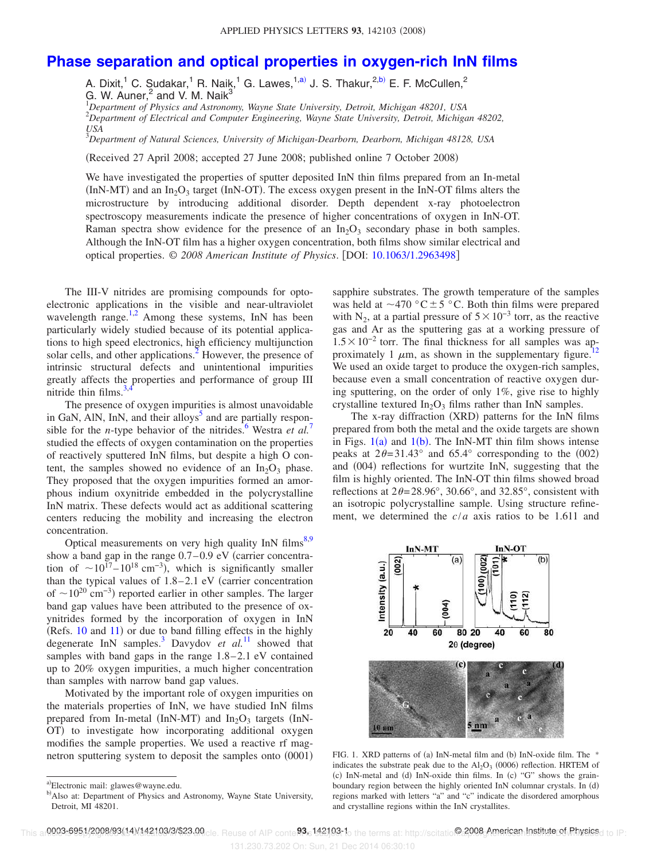## **Phase separation and optical properties in oxygen-rich InN films**

A. Dixit,<sup>1</sup> C. Sudakar,<sup>1</sup> R. Naik,<sup>1</sup> G. Lawes,<sup>1,a)</sup> J. S. Thakur,<sup>2,b)</sup> E. F. McCullen,<sup>2</sup> G. W. Auner, $^2$  and V. M. Naik $^3$ 

<sup>1</sup>*Department of Physics and Astronomy, Wayne State University, Detroit, Michigan 48201, USA* <sup>2</sup>*Department of Electrical and Computer Engineering, Wayne State University, Detroit, Michigan 48202, USA*

<sup>3</sup>*Department of Natural Sciences, University of Michigan-Dearborn, Dearborn, Michigan 48128, USA*

Received 27 April 2008; accepted 27 June 2008; published online 7 October 2008-

We have investigated the properties of sputter deposited InN thin films prepared from an In-metal  $(In N-MT)$  and an In<sub>2</sub>O<sub>3</sub> target (InN-OT). The excess oxygen present in the InN-OT films alters the microstructure by introducing additional disorder. Depth dependent x-ray photoelectron spectroscopy measurements indicate the presence of higher concentrations of oxygen in InN-OT. Raman spectra show evidence for the presence of an  $In_2O_3$  secondary phase in both samples. Although the InN-OT film has a higher oxygen concentration, both films show similar electrical and optical properties. © *2008 American Institute of Physics*. DOI: 10.1063/1.2963498

The III-V nitrides are promising compounds for optoelectronic applications in the visible and near-ultraviolet wavelength  $range$ <sup>1,2</sup> Among these systems, InN has been particularly widely studied because of its potential applications to high speed electronics, high efficiency multijunction solar cells, and other applications.<sup>2</sup> However, the presence of intrinsic structural defects and unintentional impurities greatly affects the properties and performance of group III nitride thin films. $3$ ,44

The presence of oxygen impurities is almost unavoidable in GaN, AlN, InN, and their alloys<sup>5</sup> and are partially responsible for the *n*-type behavior of the nitrides.<sup>6</sup> Westra *et al.*<sup>7</sup> studied the effects of oxygen contamination on the properties of reactively sputtered InN films, but despite a high O content, the samples showed no evidence of an  $In_2O_3$  phase. They proposed that the oxygen impurities formed an amorphous indium oxynitride embedded in the polycrystalline InN matrix. These defects would act as additional scattering centers reducing the mobility and increasing the electron concentration.

Optical measurements on very high quality InN films $8,9$ show a band gap in the range  $0.7-0.9$  eV (carrier concentration of  $\sim 10^{17} - 10^{18}$  cm<sup>-3</sup>), which is significantly smaller than the typical values of  $1.8-2.1$  eV (carrier concentration of  $\sim 10^{20}$  cm<sup>-3</sup>) reported earlier in other samples. The larger band gap values have been attributed to the presence of oxynitrides formed by the incorporation of oxygen in InN  $(Refs. 10 and 11)$  or due to band filling effects in the highly degenerate InN samples.<sup>3</sup> Davydov *et al.*<sup>11</sup> showed that samples with band gaps in the range 1.8–2.1 eV contained up to 20% oxygen impurities, a much higher concentration than samples with narrow band gap values.

Motivated by the important role of oxygen impurities on the materials properties of InN, we have studied InN films prepared from In-metal (InN-MT) and  $In_2O_3$  targets (InN-OT) to investigate how incorporating additional oxygen modifies the sample properties. We used a reactive rf magnetron sputtering system to deposit the samples onto  $(0001)$  sapphire substrates. The growth temperature of the samples was held at  $\sim$  470 °C  $\pm$  5 °C. Both thin films were prepared with N<sub>2</sub>, at a partial pressure of  $5 \times 10^{-3}$  torr, as the reactive gas and Ar as the sputtering gas at a working pressure of  $1.5 \times 10^{-2}$  torr. The final thickness for all samples was approximately 1  $\mu$ m, as shown in the supplementary figure.<sup>1</sup> We used an oxide target to produce the oxygen-rich samples, because even a small concentration of reactive oxygen during sputtering, on the order of only 1%, give rise to highly crystalline textured  $In_2O_3$  films rather than InN samples.

The x-ray diffraction (XRD) patterns for the InN films prepared from both the metal and the oxide targets are shown in Figs.  $1(a)$  and  $1(b)$ . The InN-MT thin film shows intense peaks at  $2\theta = 31.43^\circ$  and  $65.4^\circ$  corresponding to the (002) and (004) reflections for wurtzite InN, suggesting that the film is highly oriented. The InN-OT thin films showed broad reflections at  $2\theta = 28.96^{\circ}$ , 30.66°, and 32.85°, consistent with an isotropic polycrystalline sample. Using structure refinement, we determined the *c*/*a* axis ratios to be 1.611 and



FIG. 1. XRD patterns of (a) InN-metal film and (b) InN-oxide film. The \* indicates the substrate peak due to the  $Al_2O_3$  (0006) reflection. HRTEM of (c) InN-metal and (d) InN-oxide thin films. In (c) "G" shows the grainboundary region between the highly oriented InN columnar crystals. In (d) regions marked with letters "a" and "c" indicate the disordered amorphous and crystalline regions within the InN crystallites.

131.230.73.202 On: Sun, 21 Dec 2014 06:30:10

a)Electronic mail: glawes@wayne.edu.

b) Also at: Department of Physics and Astronomy, Wayne State University, Detroit, MI 48201.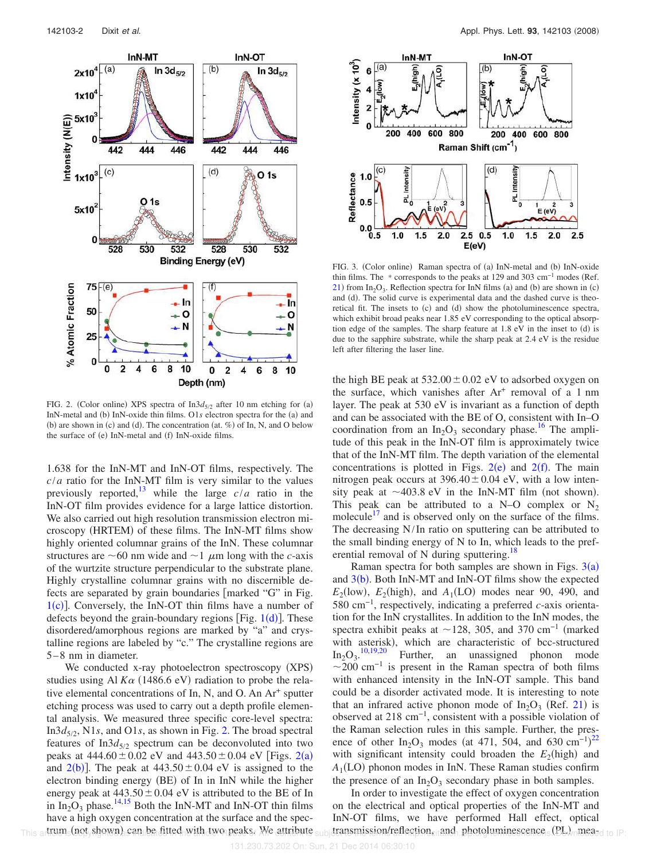

FIG. 2. (Color online) XPS spectra of  $In3d_{5/2}$  after 10 nm etching for (a) InN-metal and (b) InN-oxide thin films. O1s electron spectra for the (a) and (b) are shown in (c) and (d). The concentration (at.  $\%$ ) of In, N, and O below the surface of (e) InN-metal and (f) InN-oxide films.

1.638 for the InN-MT and InN-OT films, respectively. The  $c/a$  ratio for the InN-MT film is very similar to the values previously reported, $\frac{13}{13}$  while the large  $c/a$  ratio in the InN-OT film provides evidence for a large lattice distortion. We also carried out high resolution transmission electron microscopy (HRTEM) of these films. The InN-MT films show highly oriented columnar grains of the InN. These columnar structures are  $\sim 60$  nm wide and  $\sim 1$   $\mu$ m long with the *c*-axis of the wurtzite structure perpendicular to the substrate plane. Highly crystalline columnar grains with no discernible defects are separated by grain boundaries  $\lceil$  marked "G" in Fig.  $1(c)$ ]. Conversely, the InN-OT thin films have a number of defects beyond the grain-boundary regions [Fig.  $1(d)$ ]. These disordered/amorphous regions are marked by "a" and crystalline regions are labeled by "c." The crystalline regions are 5–8 nm in diameter.

We conducted x-ray photoelectron spectroscopy (XPS) studies using Al  $K\alpha$  (1486.6 eV) radiation to probe the relative elemental concentrations of In, N, and O. An Ar<sup>+</sup> sputter etching process was used to carry out a depth profile elemental analysis. We measured three specific core-level spectra: In3*d*5/<sup>2</sup> , N1*s*, and O1*s*, as shown in Fig. 2. The broad spectral features of In3*d*<sub>5/2</sub> spectrum can be deconvoluted into two peaks at  $444.60 \pm 0.02$  eV and  $443.50 \pm 0.04$  eV [Figs. 2(a) and  $2(b)$ ]. The peak at  $443.50 \pm 0.04$  eV is assigned to the electron binding energy (BE) of In in InN while the higher energy peak at  $443.50 \pm 0.04$  eV is attributed to the BE of In in  $In_2O_3$  phase.<sup>14,15</sup> Both the InN-MT and InN-OT thin films have a high oxygen concentration at the surface and the spectrum (not shown) can be fitted with two peaks. We attribute



FIG. 3. (Color online) Raman spectra of (a) InN-metal and (b) InN-oxide thin films. The \* corresponds to the peaks at 129 and 303 cm<sup>-1</sup> modes (Ref.  $21$ ) from In<sub>2</sub>O<sub>3</sub>. Reflection spectra for InN films (a) and (b) are shown in (c) and (d). The solid curve is experimental data and the dashed curve is theoretical fit. The insets to (c) and (d) show the photoluminescence spectra, which exhibit broad peaks near 1.85 eV corresponding to the optical absorption edge of the samples. The sharp feature at 1.8 eV in the inset to (d) is due to the sapphire substrate, while the sharp peak at 2.4 eV is the residue left after filtering the laser line.

the high BE peak at  $532.00 \pm 0.02$  eV to adsorbed oxygen on the surface, which vanishes after Ar<sup>+</sup> removal of a 1 nm layer. The peak at 530 eV is invariant as a function of depth and can be associated with the BE of O, consistent with In–O coordination from an  $In_2O_3$  secondary phase.<sup>16</sup> The amplitude of this peak in the InN-OT film is approximately twice that of the InN-MT film. The depth variation of the elemental concentrations is plotted in Figs.  $2(e)$  and  $2(f)$ . The main nitrogen peak occurs at  $396.40 \pm 0.04$  eV, with a low intensity peak at  $\sim$  403.8 eV in the InN-MT film (not shown). This peak can be attributed to a N–O complex or  $N_2$ molecule<sup> $17$ </sup> and is observed only on the surface of the films. The decreasing N/In ratio on sputtering can be attributed to the small binding energy of N to In, which leads to the preferential removal of N during sputtering.<sup>18</sup>

Raman spectra for both samples are shown in Figs.  $3(a)$ and  $3(b)$ . Both InN-MT and InN-OT films show the expected  $E_2$ (low),  $E_2$ (high), and  $A_1$ (LO) modes near 90, 490, and 580 cm−1, respectively, indicating a preferred *c*-axis orientation for the InN crystallites. In addition to the InN modes, the spectra exhibit peaks at  $\sim$ 128, 305, and 370 cm<sup>-1</sup> (marked with asterisk), which are characteristic of bcc-structured  $In_2O_3$ .<sup>10,19,20</sup> Further, an unassigned phonon mode  $\sim$ 200 cm<sup>-1</sup> is present in the Raman spectra of both films with enhanced intensity in the InN-OT sample. This band could be a disorder activated mode. It is interesting to note that an infrared active phonon mode of  $In_2O_3$  (Ref. 21) is observed at 218 cm−1, consistent with a possible violation of the Raman selection rules in this sample. Further, the presence of other In<sub>2</sub>O<sub>3</sub> modes (at 471, 504, and 630 cm<sup>-1</sup>)<sup>22</sup> with significant intensity could broaden the  $E_2$ (high) and  $A_1$ (LO) phonon modes in InN. These Raman studies confirm the presence of an  $In_2O_3$  secondary phase in both samples.

In order to investigate the effect of oxygen concentration on the electrical and optical properties of the InN-MT and InN-OT films, we have performed Hall effect, optical This artrum (not shown) can be fitted with two peaks. We attribute subjectansmission/reflection. and photoluminescence (PL) mea-d to IP: